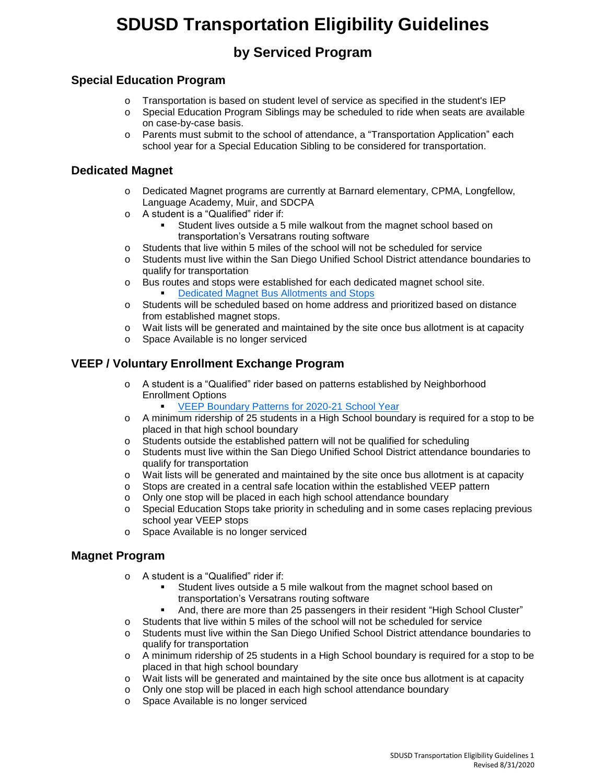# **SDUSD Transportation Eligibility Guidelines**

## **by Serviced Program**

### **Special Education Program**

- o Transportation is based on student level of service as specified in the student's IEP
- o Special Education Program Siblings may be scheduled to ride when seats are available on case-by-case basis.
- o Parents must submit to the school of attendance, a "Transportation Application" each school year for a Special Education Sibling to be considered for transportation.

### **Dedicated Magnet**

- o Dedicated Magnet programs are currently at Barnard elementary, CPMA, Longfellow, Language Academy, Muir, and SDCPA
- o A student is a "Qualified" rider if:
	- Student lives outside a 5 mile walkout from the magnet school based on transportation's Versatrans routing software
- o Students that live within 5 miles of the school will not be scheduled for service
- o Students must live within the San Diego Unified School District attendance boundaries to qualify for transportation
- o Bus routes and stops were established for each dedicated magnet school site. [Dedicated Magnet Bus Allotments and Stops](http://transportation2.sandi.net/2020%20Dedicated%20Magnet%20Bus%20Allotments%20and%20Stops.pdf)
- o Students will be scheduled based on home address and prioritized based on distance from established magnet stops.
- o Wait lists will be generated and maintained by the site once bus allotment is at capacity
- o Space Available is no longer serviced

### **VEEP / Voluntary Enrollment Exchange Program**

- o A student is a "Qualified" rider based on patterns established by Neighborhood Enrollment Options
	- [VEEP Boundary Patterns for 2020-21 School Year](http://transportation2.sandi.net/VEEP%20Pattern%202020-21.pdf)
- o A minimum ridership of 25 students in a High School boundary is required for a stop to be placed in that high school boundary
- o Students outside the established pattern will not be qualified for scheduling
- o Students must live within the San Diego Unified School District attendance boundaries to qualify for transportation
- o Wait lists will be generated and maintained by the site once bus allotment is at capacity
- o Stops are created in a central safe location within the established VEEP pattern
- o Only one stop will be placed in each high school attendance boundary
- o Special Education Stops take priority in scheduling and in some cases replacing previous school year VEEP stops
- o Space Available is no longer serviced

#### **Magnet Program**

- o A student is a "Qualified" rider if:
	- Student lives outside a 5 mile walkout from the magnet school based on transportation's Versatrans routing software
	- And, there are more than 25 passengers in their resident "High School Cluster"
- o Students that live within 5 miles of the school will not be scheduled for service
- o Students must live within the San Diego Unified School District attendance boundaries to qualify for transportation
- o A minimum ridership of 25 students in a High School boundary is required for a stop to be placed in that high school boundary
- o Wait lists will be generated and maintained by the site once bus allotment is at capacity
- o Only one stop will be placed in each high school attendance boundary
- o Space Available is no longer serviced